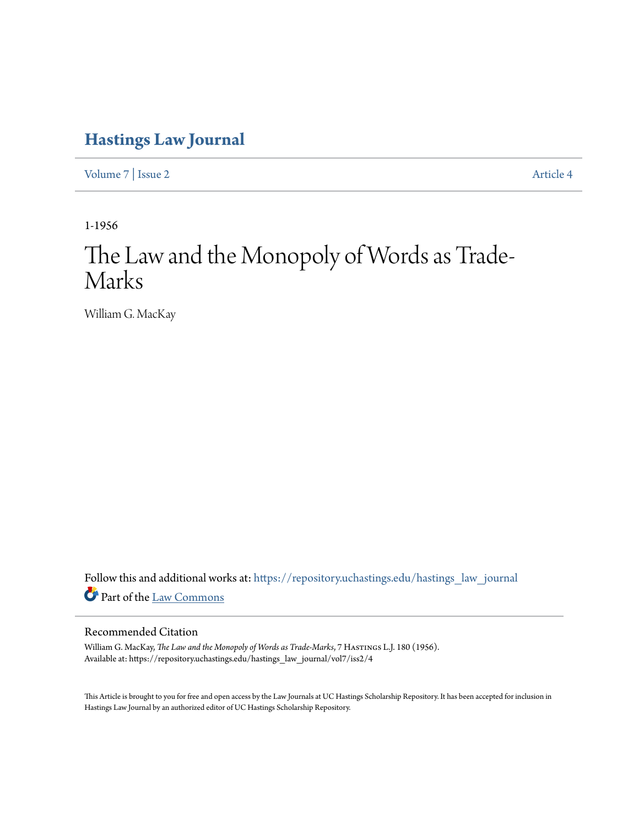## **[Hastings Law Journal](https://repository.uchastings.edu/hastings_law_journal?utm_source=repository.uchastings.edu%2Fhastings_law_journal%2Fvol7%2Fiss2%2F4&utm_medium=PDF&utm_campaign=PDFCoverPages)**

[Volume 7](https://repository.uchastings.edu/hastings_law_journal/vol7?utm_source=repository.uchastings.edu%2Fhastings_law_journal%2Fvol7%2Fiss2%2F4&utm_medium=PDF&utm_campaign=PDFCoverPages) | [Issue 2](https://repository.uchastings.edu/hastings_law_journal/vol7/iss2?utm_source=repository.uchastings.edu%2Fhastings_law_journal%2Fvol7%2Fiss2%2F4&utm_medium=PDF&utm_campaign=PDFCoverPages) [Article 4](https://repository.uchastings.edu/hastings_law_journal/vol7/iss2/4?utm_source=repository.uchastings.edu%2Fhastings_law_journal%2Fvol7%2Fiss2%2F4&utm_medium=PDF&utm_campaign=PDFCoverPages)

1-1956

# The Law and the Monopoly of Words as Trade-Marks

William G. MacKay

Follow this and additional works at: [https://repository.uchastings.edu/hastings\\_law\\_journal](https://repository.uchastings.edu/hastings_law_journal?utm_source=repository.uchastings.edu%2Fhastings_law_journal%2Fvol7%2Fiss2%2F4&utm_medium=PDF&utm_campaign=PDFCoverPages) Part of the [Law Commons](http://network.bepress.com/hgg/discipline/578?utm_source=repository.uchastings.edu%2Fhastings_law_journal%2Fvol7%2Fiss2%2F4&utm_medium=PDF&utm_campaign=PDFCoverPages)

#### Recommended Citation

William G. MacKay, *The Law and the Monopoly of Words as Trade-Marks*, 7 HASTINGS L.J. 180 (1956). Available at: https://repository.uchastings.edu/hastings\_law\_journal/vol7/iss2/4

This Article is brought to you for free and open access by the Law Journals at UC Hastings Scholarship Repository. It has been accepted for inclusion in Hastings Law Journal by an authorized editor of UC Hastings Scholarship Repository.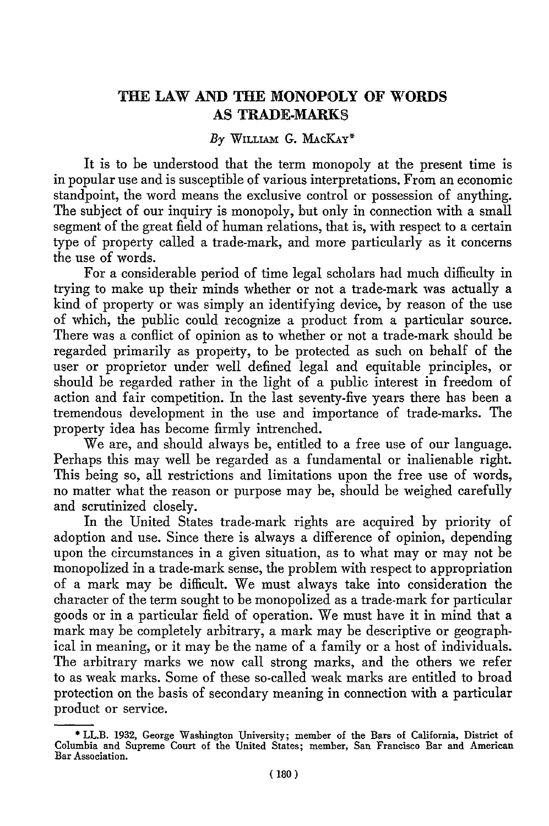### **THE LAW AND THE MONOPOLY OF** WORDS **AS TRADE-MARKS**

#### *By* **WILLIAm G.** MAcKAY\*

It is to be understood that the term monopoly at the present time is in popular use and is susceptible of various interpretations. From an economic standpoint, the word means the exclusive control or possession of anything. The subject of our inquiry is monopoly, but only in connection with a small segment of the great field of human relations, that is, with respect to a certain type of property called a trade-mark, and more particularly as it concerns the use of words.

For a considerable period of time legal scholars had much difficulty in trying to make up their minds whether or not a trade-mark was actually a kind of property or was simply an identifying device, by reason of the use of which, the public could recognize a product from a particular source. There was a conflict of opinion as to whether or not a trade-mark should be regarded primarily as property, to be protected as such on behalf of the user or proprietor under well defined legal and equitable principles, or should be regarded rather in the light of a public interest in freedom of action and fair competition. In the last seventy-five years there has been a tremendous development in the use and importance of trade-marks. The property idea has become firmly intrenched.

We are, and should always be, entitled to a free use of our language. Perhaps this may well be regarded as a fundamental or inalienable right. This being so, all restrictions and limitations upon the free use of words, no matter what the reason or purpose may be, should be weighed carefully and scrutinized closely.

In the United States trade-mark rights are acquired by priority of adoption and use. Since there is always a difference of opinion, depending upon the circumstances in a given situation, as to what may or may not be monopolized in a trade-mark sense, the problem with respect to appropriation of a mark may be difficult. We must always take into consideration the character of the term sought to be monopolized as a trade-mark for particular goods or in a particular field of operation. We must have it in mind that a mark may be completely arbitrary, a mark may be descriptive or geographical in meaning, or it may be the name of a family or a host of individuals. The arbitrary marks we now call strong marks, and the others we refer to as weak marks. Some of these so-called weak marks are entitled to broad protection on the basis of secondary meaning in connection with a particular product or service.

<sup>\*</sup> LL.B. **1932,** George Washington University; member of the Bars of California, District **of** Columbia and Supreme Court of the United States; member, San Francisco Bar and American Bar Association.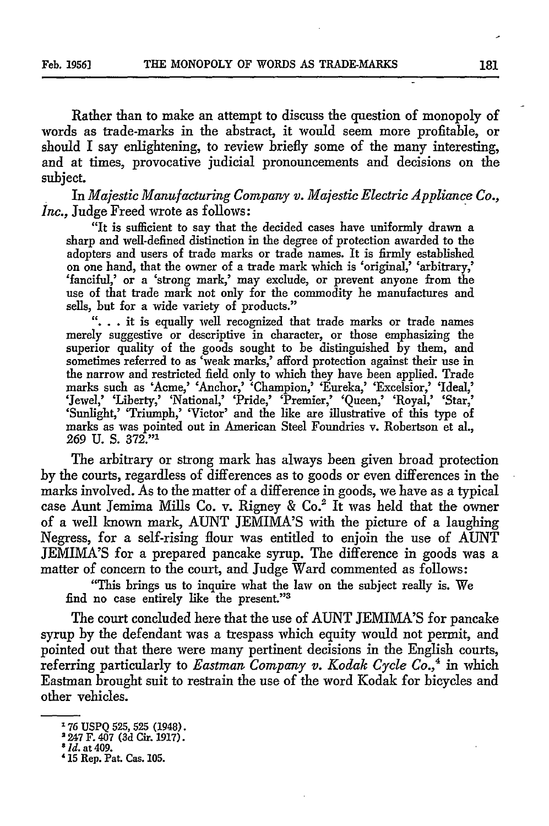Rather than to make an attempt to discuss the question of monopoly of words as trade-marks in the abstract, it would seem more profitable, or should I say enlightening, to review briefly some of the many interesting, and at times, provocative judicial pronouncements and decisions on the subject.

In *Majestic Manufacturing Company v. Majestic Electric Appliance Co., Inc.,* Judge Freed wrote as follows:

"It is sufficient to say that the decided cases have uniformly drawn a sharp and well-defined distinction in the degree of protection awarded to the adopters and users of trade marks or trade names. It is firmly established on one hand, that the owner of a trade mark which is 'original,' 'arbitrary,' 'fanciful,' or a 'strong mark,' may exclude, or prevent anyone from the use of that trade mark not only for the commodity he manufactures and sells, but for a wide variety of products."

**"...** it is equally well recognized that trade marks or trade names merely suggestive or descriptive in character, or those emphasizing the superior quality of the goods sought to be distinguished by them, and sometimes referred to as 'weak marks,' afford protection against their use in the narrow and restricted field only to which they have been applied. Trade marks such as 'Acme,' 'Anchor,' 'Champion,' 'Eureka,' 'Excelsior,' 'Ideal, 'Jewel,' 'Liberty,' 'National,' 'Pride,' 'Premier,' 'Queen,' 'Royal,' 'Star,' 'Sunlight,' 'Triumph,' 'Victor' and the like are illustrative of this type of marks as was pointed out in American Steel Foundries v. Robertson et al., 269 U. **S.** 372." <sup>1</sup>

The arbitrary or strong mark has always been given broad protection by the courts, regardless of differences as to goods or even differences in the marks involved. As to the matter of a difference in goods, we have as a typical case Aunt Jemima Mills Co. v. Rigney & Co.' It was held that the owner of a well known mark, AUNT JEMIMA'S with the picture of a laughing Negress, for a self-rising flour was entitled to enjoin the use of AUNT JEMIMA'S for a prepared pancake syrup. The difference in goods was a matter of concern to the court, and Judge Ward commented as follows:

"This brings us to inquire what the law on the subject really is. We find no case entirely like the present."3

The court concluded here that the use of AUNT JEMIMA'S for pancake syrup by the defendant was a trespass which equity would not permit, and pointed out that there were many pertinent decisions in the English courts, referring particularly to *Eastman Company v. Kodak Cycle Co.,4* in which Eastman brought suit to restrain the use of the word Kodak for bicycles and other vehicles.

**<sup>176</sup>** USPQ 525, 525 (1948).

<sup>2247</sup> F. 407 (3d Cir. **1917).**

*<sup>8</sup> Id.* at 409.

**<sup>&#</sup>x27; 15** Rep. Pat. Cas. **105.**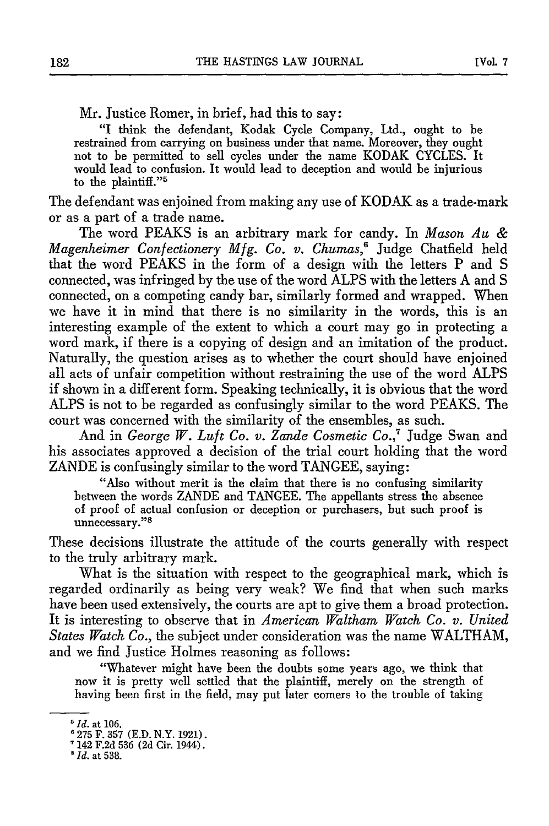Mr. Justice Romer, in brief, had this to say:

"I think the defendant, Kodak Cycle Company, Ltd., ought to be restrained from carrying on business under that name. Moreover, they ought not to be permitted to sell cycles under the name KODAK CYCLES. It would lead to confusion. It would lead to deception and would be injurious to the plaintiff."<sup>5</sup>

The defendant was enjoined from making any use of KODAK as a trade-mark or as a part of a trade name.

The word PEAKS is an arbitrary mark for candy. In *Mason Au & Magenheimer Confectionery Mfg. Co. v. Chumas,6* Judge Chatfield held that the word PEAKS in the form of a design with the letters P and S connected, was infringed by the use of the word ALPS with the letters A and S connected, on a competing candy bar, similarly formed and wrapped. When we have it in mind that there is no similarity in the words, this is an interesting example of the extent to which a court may go in protecting a word mark, if there is a copying of design and an imitation of the product. Naturally, the question arises as to whether the court should have enjoined all acts of unfair competition without restraining the use of the word ALPS if shown in a different form. Speaking technically, it is obvious that the word ALPS is not to be regarded as confusingly similar to the word PEAKS. The court was concerned with the similarity of the ensembles, as such.

And in *George W. Luft Co. v. Zande Cosmetic Co.,'* Judge Swan and his associates approved a decision of the trial court holding that the word ZANDE is confusingly similar to the word TANGEE, saying:

"Also without merit is the claim that there is no confusing similarity between the words ZANDE and TANGEE. The appellants stress the absence of proof of actual confusion or deception or purchasers, but such proof is unnecessary."

These decisions illustrate the attitude of the courts generally with respect to the truly arbitrary mark.

What is the situation with respect to the geographical mark, which is regarded ordinarily as being very weak? We find that when such marks have been used extensively, the courts are apt to give them a broad protection. It is interesting to observe that in *American Waltham Watch Co. v. United States Watch Co.,* the subject under consideration was the name WALTHAM, and we find Justice Holmes reasoning as follows:

"Whatever might have been the doubts some years ago, we think that now it is pretty well settled that the plaintiff, merely on the strength of having been first in the field, may put later comers to the trouble of taking

**<sup>5</sup>***Id.* at 106.

<sup>6</sup> 275 F. 357 (E.D. N.Y. 1921).

<sup>142</sup> F.2d 536 (2d Cir. 1944).

*I1d.* at **538.**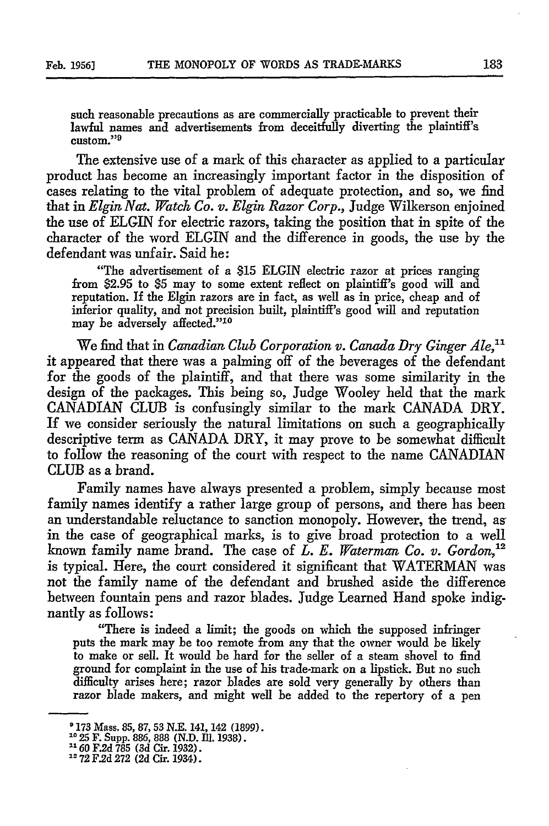such reasonable precautions as are commercially practicable to prevent their lawful names and advertisements from deceitfully diverting the plaintiff's custom."<sup>9</sup>

The extensive use of a mark of this character as applied to a particular product has become an increasingly important factor in the disposition of cases relating to the vital problem of adequate protection, and so, we find that in *Elgin Nat. Watch Co. v. Elgin Razor Corp.,* Judge Wilkerson enjoined the use of ELGIN for electric razors, taking the position that in spite of the character of the word ELGIN and the difference in goods, the use by the defendant was unfair. Said he:

"The advertisement of a \$15 ELGIN electric razor at prices ranging from \$2.95 to \$5 may to some extent reflect on plaintiff's good will and reputation. If the Elgin razors are in fact, as well as in price, cheap and of inferior quality, and not precision built, plaintiff's good will and reputation may be adversely affected."<sup>10</sup>

We find that in *Canadian Club Corporation v. Canada Dry Ginger Ale,"* it appeared that there was a palming off of the beverages of the defendant for the goods of the plaintiff, and that there was some similarity in the design of the packages. This being so, Judge Wooley held that the mark CANADIAN CLUB is confusingly similar to the mark CANADA DRY. If we consider seriously the natural limitations on such a geographically descriptive term as CANADA DRY, it may prove to be somewhat difficult to follow the reasoning of the court with respect to the name CANADIAN CLUB as a brand.

Family names have always presented a problem, simply because most family names identify a rather large group of persons, and there has been an understandable reluctance to sanction monopoly. However, the trend, as in the case of geographical marks, is to give broad protection to a well known family name brand. The case of *L. E. Waterman Co. v. Gordon*,<sup>12</sup> is typical. Here, the court considered it significant that WATERMAN was not the family name of the defendant and brushed aside the difference between fountain pens and razor blades. Judge Learned Hand spoke indignantly as follows:

"There is indeed a limit; the goods on which the supposed infringer puts the mark may be too remote from any that the owner would be likely to make or sell. It would be hard for the seller of a steam shovel to find ground for complaint in the use of his trade-mark on a lipstick. But no such difficulty arises here; razor blades are sold very generally by others than razor blade makers, and might well be added to the repertory of a pen

<sup>&#</sup>x27;173 Mass. 85, 87, 53 N.E. 141, 142 (1899). 10 AM 1035, 885, 886, 887 (1835, 886, 887 **F. 1945).**<br>10 30 T. Supp. 886, 888 (1815). III. 1938).

*<sup>&</sup>quot;60* F.2d 785 (3d Cir. 1932).

<sup>&</sup>lt;sup>2</sup> 72 F.2d 272 (2d Cir. 1934).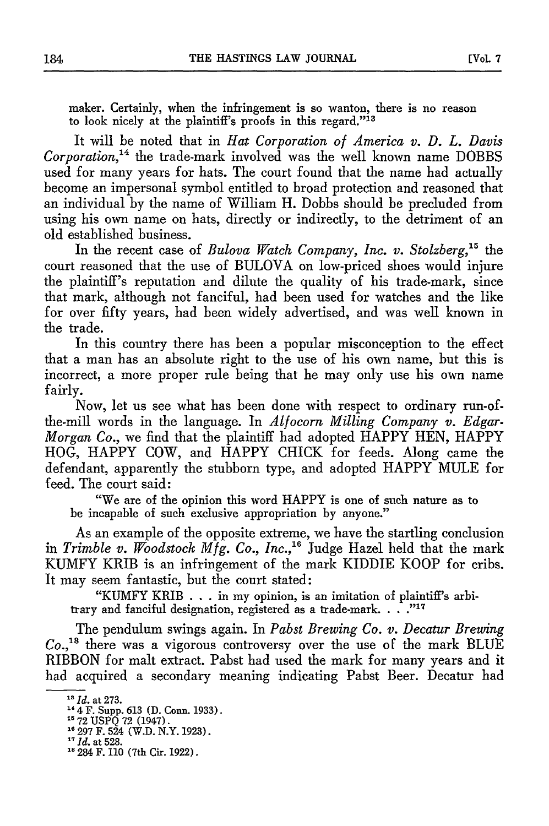maker. Certainly, when the infringement is so wanton, there is no reason to look nicely at the plaintiff's proofs in this regard."<sup>13</sup>

It will be noted that in *Hat Corporation of America v. D. L. Davis Corporation,4* the trade-mark involved was the well known name DOBBS used for many years for hats. The court found that the name had actually become an impersonal symbol entitled to broad protection and reasoned that an individual by the name of William H. Dobbs should be precluded from using his own name on hats, directly or indirectly, to the detriment of an old established business.

In the recent case of *Bulova Watch Company, Inc. v. Stolzberg,'5* the court reasoned that the use of BULOVA on low-priced shoes would injure the plaintiff's reputation and dilute the quality of his trade-mark, since that mark, although not fanciful, had been used for watches and the like for over fifty years, had been widely advertised, and was well known in the trade.

In this country there has been a popular misconception to the effect that a man has an absolute right to the use of his own name, but this is incorrect, a more proper rule being that he may only use his own name fairly.

Now, let us see what has been done with respect to ordinary run-ofthe-mill words in the language. In *Alfocorn Milling Company v. Edgar-Morgan Co.,* we find that the plaintiff had adopted HAPPY HEN, HAPPY HOG, HAPPY COW, and HAPPY CHICK for feeds. Along came the defendant, apparently the stubborn type, and adopted HAPPY MULE for feed. The court said:

"We are of the opinion this word HAPPY is one of such nature as to be incapable of such exclusive appropriation by anyone."

As an example of the opposite extreme, we have the startling conclusion in *Trimble v. Woodstock Mfg. Co., Inc.*,<sup>16</sup> Judge Hazel held that the mark KUMFY KRIB is an infringement of the mark KIDDIE KOOP for cribs. It may seem fantastic, but the court stated:

"KUMFY KRIB **. ..**in my opinion, is an imitation of plaintiff's arbitrary and fanciful designation, registered as a trade-mark. . .<sup>717</sup>

The pendulum swings again. In *Pabst Brewing Co. v. Decatur Brewing* Co.,<sup>18</sup> there was a vigorous controversy over the use of the mark BLUE RIBBON for malt extract. Pabst had used the mark for many years and it had acquired a secondary meaning indicating Pabst Beer. Decatur had

*<sup>&</sup>quot;Id.* at 273.

**<sup>14,</sup> at 213.**<br><sup>14</sup> *A. F. Supp. 6*13 (D. Conn. 1933).

<sup>&</sup>lt;sup>15</sup> 72 USPQ 72 (1947).<br><sup>16</sup> 297 F. 524 (W.D. N.Y. 1923)<br><sup>17</sup> *Id.* at 528.

<sup>&</sup>lt;sup>17</sup> *Id.* at 528.<br><sup>18</sup> 284 F. 110 (7th Cir. 1922).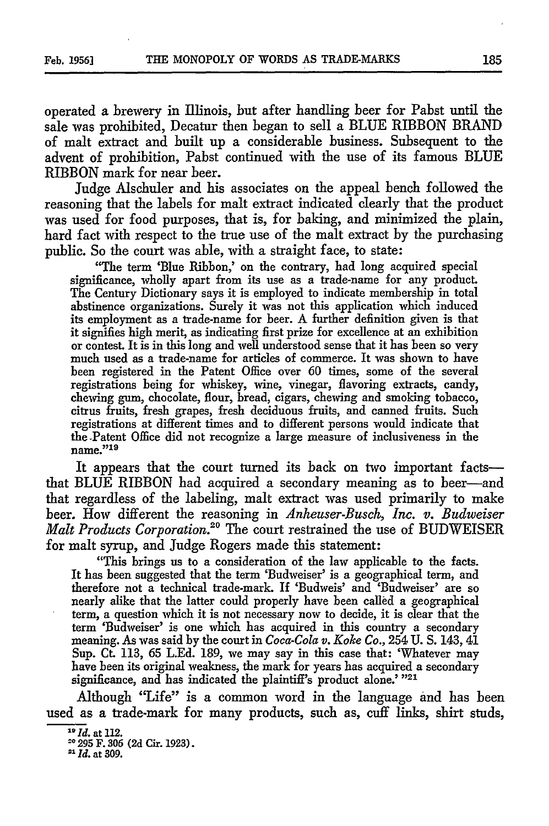operated a brewery in Illinois, but after handling beer for Pabst until the sale was prohibited, Decatur then began to sell a BLUE RIBBON BRAND of malt extract and built up a considerable business. Subsequent to the advent of prohibition, Pabst continued with the use of its famous BLUE RIBBON mark for near beer.

Judge Alschuler and his associates on the appeal bench followed the reasoning that the labels for malt extract indicated clearly that the product was used for food purposes, that is, for baking, and minimized the plain, hard fact with respect to the true use of the malt extract by the purchasing public. So the court was able, with a straight face, to state:

"The term 'Blue Ribbon,' on the contrary, had long acquired special significance, wholly apart from its use as a trade-name for any product. The Century Dictionary says it is employed to indicate membership in total abstinence organizations. Surely it was not this application which induced its employment as a trade-name for beer. A further definition given is that it signifies high merit, as indicating first prize for excellence at an exhibition or contest. It is in this long and well understood sense that it has been so very much used as a trade-name for articles of commerce. It was shown to have been registered in the Patent Office over 60 times, some of the several registrations being for whiskey, wine, vinegar, flavoring extracts, candy, chewing gum, chocolate, flour, bread, cigars, chewing and smoking tobacco, citrus fruits, fresh grapes, fresh deciduous fruits, and canned fruits. Such registrations at different times and to different persons would indicate that the Patent Office did not recognize a large measure of inclusiveness in the name."<sup>19</sup>

It appears that the court turned its back on two important factsthat BLUE RIBBON had acquired a secondary meaning as to beer-and that regardless of the labeling, malt extract was used primarily to make beer. How different the reasoning in *Anheuser-Busch, Inc. v. Budweiser* Malt Products Corporation.<sup>20</sup> The court restrained the use of BUDWEISER for malt syrup, and Judge Rogers made this statement:

"This brings us to a consideration of the law applicable to the facts. It has been suggested that the term 'Budweiser' is a geographical term, and therefore not a technical trade-mark. If 'Budweis' and 'Budweiser' are so nearly alike that the latter could properly have been called a geographical term, a question which it is not necessary now to decide, it is clear that the term 'Budweiser' is one which has acquired in this country a secondary meaning. As was said by the court in *Coca-Cola v. Koke Co.,* 254 U. **S.** 143, 41 Sup. Ct. 113, 65 L.Ed. 189, we may say in this case that: 'Whatever may have been its original weakness, the mark for years has acquired a secondary significance, and has indicated the plaintiff's product alone.' **"21**

Although "Life" is a common word in the language and has been used as a trade-mark for many products, such as, cuff links, shirt studs,

**20 295** F. 306 **(2d** Cir. **1923).**

*2 <sup>1</sup> Id.* at 309.

*<sup>1</sup> 9 Id.* at 112.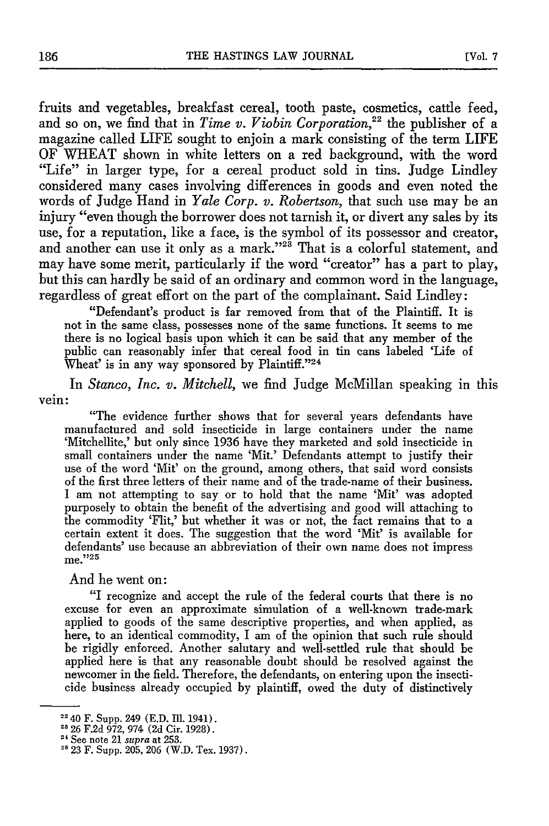fruits and vegetables, breakfast cereal, tooth paste, cosmetics, cattle feed, and so on, we find that in *Time v. Viobin Corporation,22* the publisher of a magazine called LIFE sought to enjoin a mark consisting of the term LIFE OF WHEAT shown in white letters on a red background, with the word "Life" in larger type, for a cereal product sold in tins. Judge Lindley considered many cases involving differences in goods and even noted the words of Judge Hand in *Yale Corp. v. Robertson,* that such use may be an injury "even though the borrower does not tarnish it, or divert any sales by its use, for a reputation, like a face, is the symbol of its possessor and creator, and another can use it only as a mark."<sup>23</sup> That is a colorful statement, and may have some merit, particularly if the word "creator" has a part to play, but this can hardly be said of an ordinary and common word in the language, regardless of great effort on the part of the complainant. Said Lindley:

"Defendant's product is far removed from that of the Plaintiff. It is not in the same class, possesses none of the same functions. It seems to me there is no logical basis upon which it can be said that any member of the public can reasonably infer that cereal food in tin cans labeled 'Life of Wheat' is in any way sponsored by Plaintiff."24

In *Stanco, Inc. v. Mitchell,* we find Judge McMillan speaking in this vein:

"The evidence further shows that for several years defendants have manufactured and sold insecticide in large containers under the name 'Mitchellite,' but only since 1936 have they marketed and sold insecticide in small containers under the name 'Mit.' Defendants attempt to justify their use of the word 'Mit' on the ground, among others, that said word consists of the first three letters of their name and of the trade-name of their business. I am not attempting to say or to hold that the name 'Mit' was adopted purposely to obtain the benefit of the advertising and good will attaching to the commodity 'Flit,' but whether it was or not, the fact remains that to a certain extent it does. The suggestion that the word *'Mit'* is available for defendants' use because an abbreviation of their own name does not impress me." <sup>25</sup>

And he went on:

"I recognize and accept the rule of the federal courts that there is no excuse for even an approximate simulation of a well-known trade-mark applied to goods of the same descriptive properties, and when applied, as here, to an identical commodity, I am of the opinion that such rule should be rigidly enforced. Another salutary and well-settled rule that should be applied here is that any reasonable doubt should be resolved against the newcomer in the field. Therefore, the defendants, on entering upon the insecticide business already occupied by plaintiff, owed the duty of distinctively

**<sup>2</sup>** 40 F. Supp. 249 (E.D. fI1. 1941). **22** 26 F.2d 972, 974 (2d Cir. 1928).

**<sup>24</sup>**See note 21 *supra* at 253.

<sup>&</sup>lt;sup>-</sup> 3ee note 21 *supra* at 255.<br><sup>25</sup> 93 F. Supp. 905, 906. (W.D. Tex. 1037).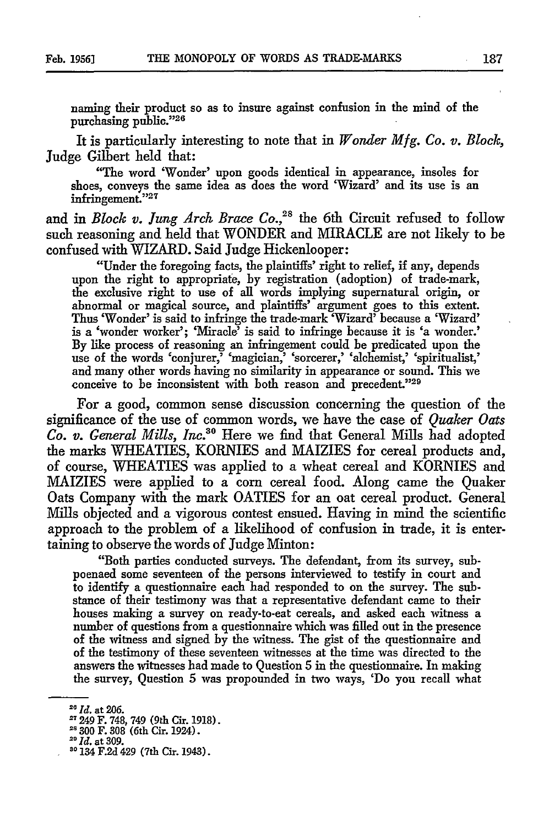naming their product so as to insure against confusion in the mind of the purchasing public."26

It is particularly interesting to note that in *Wonder Mfg. Co. v. Block,* Judge Gilbert held that:

"The word 'Wonder' upon goods identical in appearance, insoles for shoes, conveys the same idea as does the word 'Wizard' and its use is an infringement."27

and in *Block v. Jung Arch Brace Co.*,<sup>28</sup> the 6th Circuit refused to follow such reasoning and held that WONDER and MIRACLE are not likely to be confused with WIZARD. Said Judge Hickenlooper:

"Under the foregoing facts, the plaintiffs' right to relief, if any, depends upon the right to appropriate, by registration (adoption) of trade-mark, the exclusive right to use of all words implying supernatural origin, or abnormal or magical source, and plaintiffs' argument goes to this extent. Thus 'Wonder' is said to infringe the trade-mark 'Wizard' because a 'Wizard' is a 'wonder worker'; 'Miracle' is said to infringe because it is 'a wonder.' By like process of reasoning an infringement could be predicated upon the use of the words 'conjurer,' 'magician,' 'sorcerer,' 'alchemist,' 'spiritualist, and many other words having no similarity in appearance or sound. This we conceive to be inconsistent with both reason and precedent."<sup>29</sup>

For a good, common sense discussion concerning the question of the significance of the use of common words, we have the case of *Quaker Oats Co. v. General Mills, Inc.*<sup>30</sup> Here we find that General Mills had adopted the marks WHEATIES, KORNIES and MAIZIES for cereal products and, of course, WHEATIES was applied to a wheat cereal and KORNIES and MAIZIES were applied to a corn cereal food. Along came the Quaker Oats Company with the mark OATIES for an oat cereal product. General Mills objected and a vigorous contest ensued. Having in mind the scientific approach to the problem of a likelihood of confusion in trade, it is entertaining to observe the words of Judge Minton:

"Both parties conducted surveys. The defendant, from its survey, subpoenaed some seventeen of the persons interviewed to testify in court and to identify a questionnaire each had responded to on the survey. The substance of their testimony was that a representative defendant came to their houses making a survey on ready-to-eat cereals, and asked each witness a number of questions from a questionnaire which was filled out in the presence of the witness and signed by the witness. The gist of the questionnaire and of the testimony of these seventeen witnesses at the time was directed to the answers the witnesses had made to Question **5** in the questionnaire. In making the survey, Question 5 was propounded in two ways, 'Do you recall what

*<sup>20</sup> Id.* at **206.**

<sup>&</sup>lt;sup>27</sup> 249 F. 748, 749 (9th Cir. 1918).

<sup>&</sup>lt;sup>28</sup> 300 F. 308 (6th Cir. 1924).

*<sup>&</sup>quot;Id.* at 309.

**<sup>20</sup>**134 F.2d 429 (7th Cir. 1943).